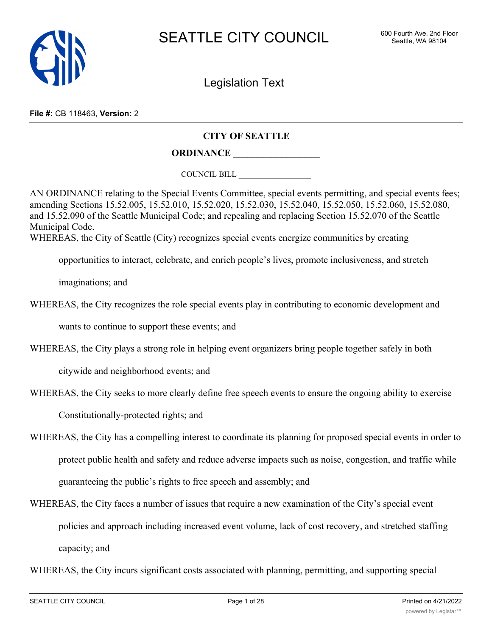

Legislation Text

**File #:** CB 118463, **Version:** 2

### **CITY OF SEATTLE**

# **ORDINANCE \_\_\_\_\_\_\_\_\_\_\_\_\_\_\_\_\_\_**

COUNCIL BILL \_\_\_\_\_\_\_\_\_\_\_\_\_\_\_\_\_\_

AN ORDINANCE relating to the Special Events Committee, special events permitting, and special events fees; amending Sections 15.52.005, 15.52.010, 15.52.020, 15.52.030, 15.52.040, 15.52.050, 15.52.060, 15.52.080, and 15.52.090 of the Seattle Municipal Code; and repealing and replacing Section 15.52.070 of the Seattle Municipal Code. WHEREAS, the City of Seattle (City) recognizes special events energize communities by creating

opportunities to interact, celebrate, and enrich people's lives, promote inclusiveness, and stretch

imaginations; and

WHEREAS, the City recognizes the role special events play in contributing to economic development and

wants to continue to support these events; and

WHEREAS, the City plays a strong role in helping event organizers bring people together safely in both

citywide and neighborhood events; and

WHEREAS, the City seeks to more clearly define free speech events to ensure the ongoing ability to exercise

Constitutionally-protected rights; and

- WHEREAS, the City has a compelling interest to coordinate its planning for proposed special events in order to protect public health and safety and reduce adverse impacts such as noise, congestion, and traffic while guaranteeing the public's rights to free speech and assembly; and
- WHEREAS, the City faces a number of issues that require a new examination of the City's special event policies and approach including increased event volume, lack of cost recovery, and stretched staffing capacity; and
- WHEREAS, the City incurs significant costs associated with planning, permitting, and supporting special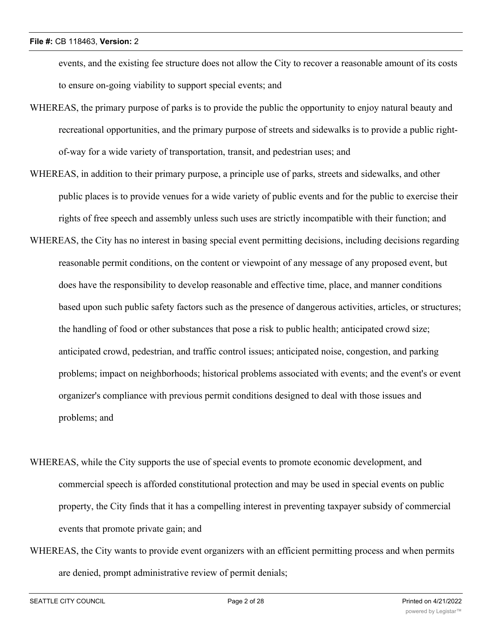events, and the existing fee structure does not allow the City to recover a reasonable amount of its costs to ensure on-going viability to support special events; and

- WHEREAS, the primary purpose of parks is to provide the public the opportunity to enjoy natural beauty and recreational opportunities, and the primary purpose of streets and sidewalks is to provide a public rightof-way for a wide variety of transportation, transit, and pedestrian uses; and
- WHEREAS, in addition to their primary purpose, a principle use of parks, streets and sidewalks, and other public places is to provide venues for a wide variety of public events and for the public to exercise their rights of free speech and assembly unless such uses are strictly incompatible with their function; and
- WHEREAS, the City has no interest in basing special event permitting decisions, including decisions regarding reasonable permit conditions, on the content or viewpoint of any message of any proposed event, but does have the responsibility to develop reasonable and effective time, place, and manner conditions based upon such public safety factors such as the presence of dangerous activities, articles, or structures; the handling of food or other substances that pose a risk to public health; anticipated crowd size; anticipated crowd, pedestrian, and traffic control issues; anticipated noise, congestion, and parking problems; impact on neighborhoods; historical problems associated with events; and the event's or event organizer's compliance with previous permit conditions designed to deal with those issues and problems; and
- WHEREAS, while the City supports the use of special events to promote economic development, and commercial speech is afforded constitutional protection and may be used in special events on public property, the City finds that it has a compelling interest in preventing taxpayer subsidy of commercial events that promote private gain; and
- WHEREAS, the City wants to provide event organizers with an efficient permitting process and when permits are denied, prompt administrative review of permit denials;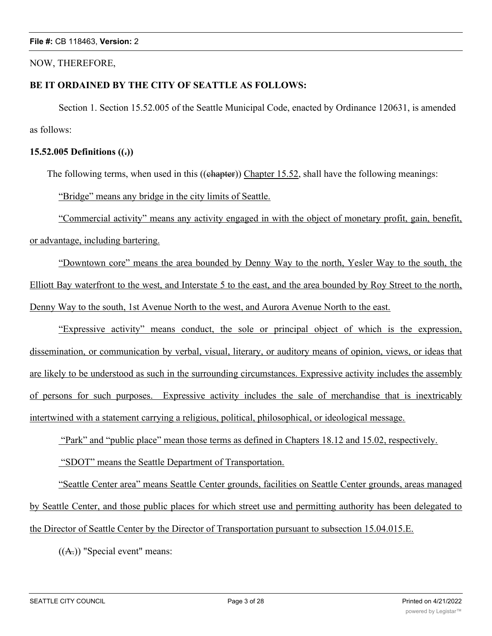### NOW, THEREFORE,

## **BE IT ORDAINED BY THE CITY OF SEATTLE AS FOLLOWS:**

Section 1. Section 15.52.005 of the Seattle Municipal Code, enacted by Ordinance 120631, is amended as follows:

## **15.52.005 Definitions ((.))**

The following terms, when used in this ((chapter)) Chapter 15.52, shall have the following meanings:

"Bridge" means any bridge in the city limits of Seattle.

"Commercial activity" means any activity engaged in with the object of monetary profit, gain, benefit, or advantage, including bartering.

"Downtown core" means the area bounded by Denny Way to the north, Yesler Way to the south, the Elliott Bay waterfront to the west, and Interstate 5 to the east, and the area bounded by Roy Street to the north, Denny Way to the south, 1st Avenue North to the west, and Aurora Avenue North to the east.

"Expressive activity" means conduct, the sole or principal object of which is the expression, dissemination, or communication by verbal, visual, literary, or auditory means of opinion, views, or ideas that are likely to be understood as such in the surrounding circumstances. Expressive activity includes the assembly of persons for such purposes. Expressive activity includes the sale of merchandise that is inextricably intertwined with a statement carrying a religious, political, philosophical, or ideological message.

"Park" and "public place" mean those terms as defined in Chapters 18.12 and 15.02, respectively.

"SDOT" means the Seattle Department of Transportation.

"Seattle Center area" means Seattle Center grounds, facilities on Seattle Center grounds, areas managed by Seattle Center, and those public places for which street use and permitting authority has been delegated to the Director of Seattle Center by the Director of Transportation pursuant to subsection 15.04.015.E.

 $((A))$  "Special event" means: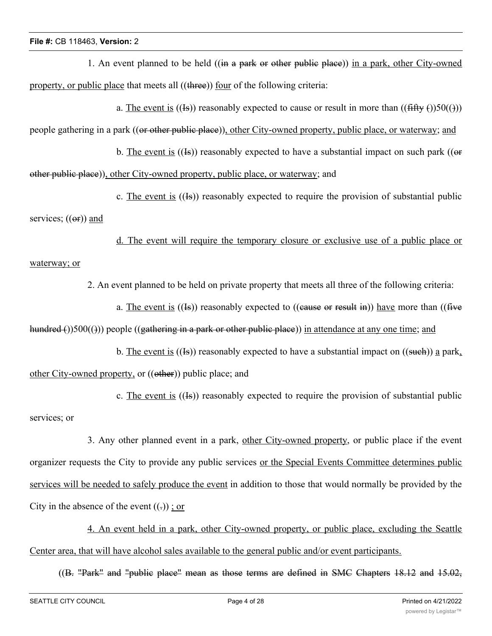1. An event planned to be held ((in a park or other public place)) in a park, other City-owned property, or public place that meets all ((three)) four of the following criteria:

a. The event is ((Is)) reasonably expected to cause or result in more than (( $\text{fffty ()}\text{)}50(\text{)}$ ))

people gathering in a park ((or other public place)), other City-owned property, public place, or waterway; and

b. The event is  $((\text{Is}))$  reasonably expected to have a substantial impact on such park  $((\text{or})$ other public place)), other City-owned property, public place, or waterway; and

c. The event is  $((\text{Is}))$  reasonably expected to require the provision of substantial public

services;  $((er))$  and

d. The event will require the temporary closure or exclusive use of a public place or waterway; or

2. An event planned to be held on private property that meets all three of the following criteria:

a. The event is  $((\text{Is}))$  reasonably expected to  $((\text{cause or result in}))$  have more than  $((\text{five$ hundred ())500(())) people ((gathering in a park or other public place)) in attendance at any one time; and

b. The event is  $((\text{Is})$  reasonably expected to have a substantial impact on  $((\text{such})$  a park, other City-owned property, or ((other)) public place; and

c. The event is  $((\text{Is}))$  reasonably expected to require the provision of substantial public services; or

3. Any other planned event in a park, other City-owned property, or public place if the event organizer requests the City to provide any public services or the Special Events Committee determines public services will be needed to safely produce the event in addition to those that would normally be provided by the City in the absence of the event  $((.)$ ; or

4. An event held in a park, other City-owned property, or public place, excluding the Seattle Center area, that will have alcohol sales available to the general public and/or event participants.

((B. "Park" and "public place" mean as those terms are defined in SMC Chapters 18.12 and 15.02,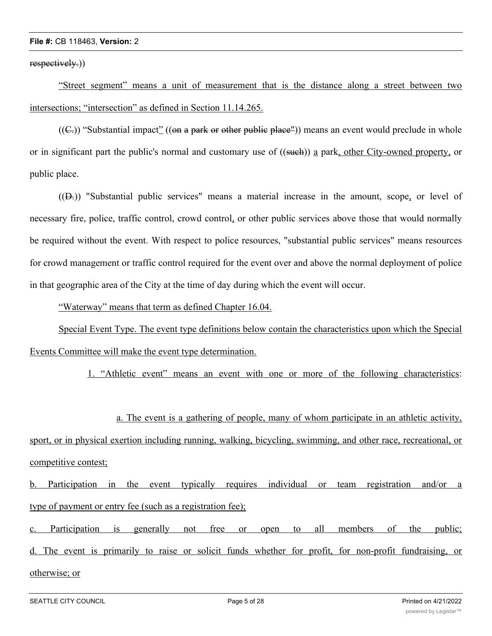respectively.)

"Street segment" means a unit of measurement that is the distance along a street between two intersections; "intersection" as defined in Section 11.14.265.

 $((C<sub>z</sub>))$  "Substantial impact" ((on a park or other public place")) means an event would preclude in whole or in significant part the public's normal and customary use of ((such)) a park, other City-owned property, or public place.

((D.)) "Substantial public services" means a material increase in the amount, scope, or level of necessary fire, police, traffic control, crowd control, or other public services above those that would normally be required without the event. With respect to police resources, "substantial public services" means resources for crowd management or traffic control required for the event over and above the normal deployment of police in that geographic area of the City at the time of day during which the event will occur.

"Waterway" means that term as defined Chapter 16.04.

Special Event Type. The event type definitions below contain the characteristics upon which the Special Events Committee will make the event type determination.

1. "Athletic event" means an event with one or more of the following characteristics:

a. The event is a gathering of people, many of whom participate in an athletic activity, sport, or in physical exertion including running, walking, bicycling, swimming, and other race, recreational, or competitive contest;

b. Participation in the event typically requires individual or team registration and/or a type of payment or entry fee (such as a registration fee);

c. Participation is generally not free or open to all members of the public; d. The event is primarily to raise or solicit funds whether for profit, for non-profit fundraising, or otherwise; or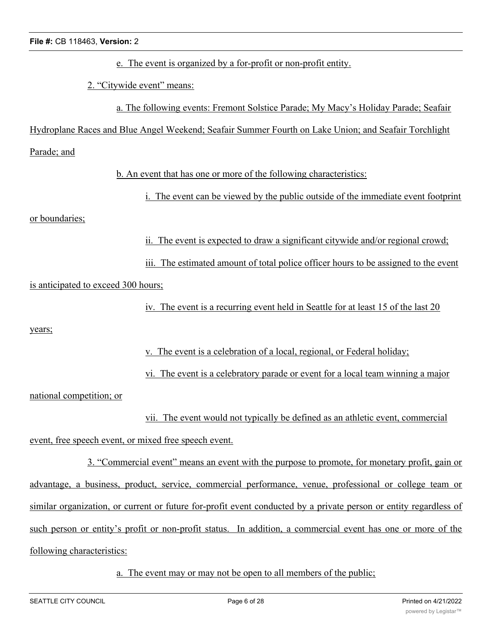e. The event is organized by a for-profit or non-profit entity.

2. "Citywide event" means:

a. The following events: Fremont Solstice Parade; My Macy's Holiday Parade; Seafair

Hydroplane Races and Blue Angel Weekend; Seafair Summer Fourth on Lake Union; and Seafair Torchlight

Parade; and

b. An event that has one or more of the following characteristics:

i. The event can be viewed by the public outside of the immediate event footprint

or boundaries;

ii. The event is expected to draw a significant citywide and/or regional crowd;

iii. The estimated amount of total police officer hours to be assigned to the event is anticipated to exceed 300 hours;

iv. The event is a recurring event held in Seattle for at least 15 of the last 20

years;

v. The event is a celebration of a local, regional, or Federal holiday;

vi. The event is a celebratory parade or event for a local team winning a major

national competition; or

vii. The event would not typically be defined as an athletic event, commercial

event, free speech event, or mixed free speech event.

3. "Commercial event" means an event with the purpose to promote, for monetary profit, gain or advantage, a business, product, service, commercial performance, venue, professional or college team or similar organization, or current or future for-profit event conducted by a private person or entity regardless of such person or entity's profit or non-profit status. In addition, a commercial event has one or more of the following characteristics:

a. The event may or may not be open to all members of the public;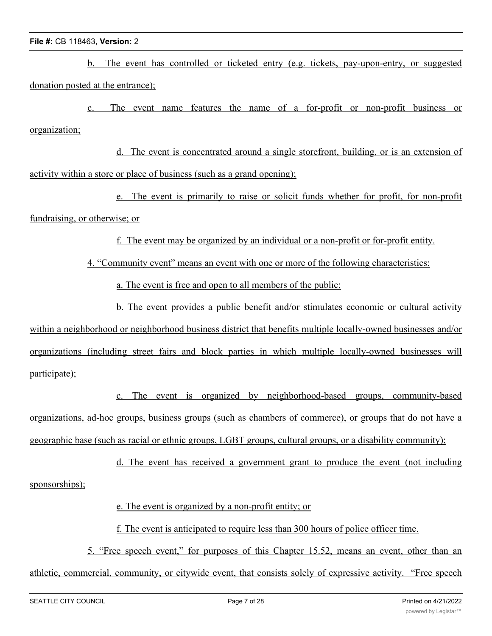b. The event has controlled or ticketed entry (e.g. tickets, pay-upon-entry, or suggested donation posted at the entrance);

The event name features the name of a for-profit or non-profit business or organization;

d. The event is concentrated around a single storefront, building, or is an extension of activity within a store or place of business (such as a grand opening);

e. The event is primarily to raise or solicit funds whether for profit, for non-profit fundraising, or otherwise; or

f. The event may be organized by an individual or a non-profit or for-profit entity.

4. "Community event" means an event with one or more of the following characteristics:

a. The event is free and open to all members of the public;

b. The event provides a public benefit and/or stimulates economic or cultural activity within a neighborhood or neighborhood business district that benefits multiple locally-owned businesses and/or organizations (including street fairs and block parties in which multiple locally-owned businesses will participate);

c. The event is organized by neighborhood-based groups, community-based organizations, ad-hoc groups, business groups (such as chambers of commerce), or groups that do not have a geographic base (such as racial or ethnic groups, LGBT groups, cultural groups, or a disability community);

d. The event has received a government grant to produce the event (not including sponsorships);

e. The event is organized by a non-profit entity; or

f. The event is anticipated to require less than 300 hours of police officer time.

5. "Free speech event," for purposes of this Chapter 15.52, means an event, other than an athletic, commercial, community, or citywide event, that consists solely of expressive activity. "Free speech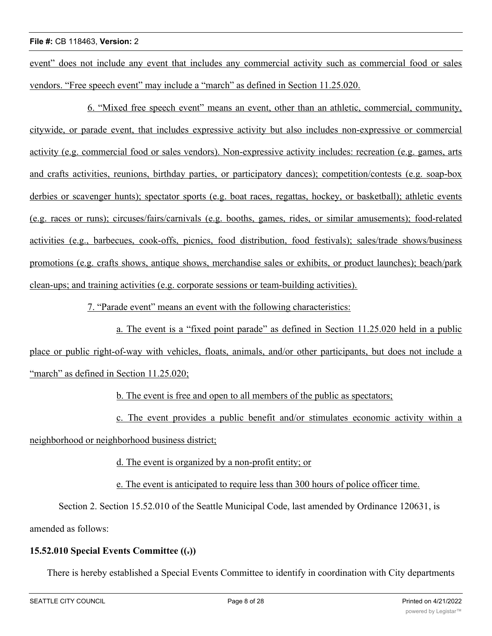event" does not include any event that includes any commercial activity such as commercial food or sales vendors. "Free speech event" may include a "march" as defined in Section 11.25.020.

6. "Mixed free speech event" means an event, other than an athletic, commercial, community, citywide, or parade event, that includes expressive activity but also includes non-expressive or commercial activity (e.g. commercial food or sales vendors). Non-expressive activity includes: recreation (e.g. games, arts and crafts activities, reunions, birthday parties, or participatory dances); competition/contests (e.g. soap-box derbies or scavenger hunts); spectator sports (e.g. boat races, regattas, hockey, or basketball); athletic events (e.g. races or runs); circuses/fairs/carnivals (e.g. booths, games, rides, or similar amusements); food-related activities (e.g., barbecues, cook-offs, picnics, food distribution, food festivals); sales/trade shows/business promotions (e.g. crafts shows, antique shows, merchandise sales or exhibits, or product launches); beach/park clean-ups; and training activities (e.g. corporate sessions or team-building activities).

7. "Parade event" means an event with the following characteristics:

a. The event is a "fixed point parade" as defined in Section 11.25.020 held in a public place or public right-of-way with vehicles, floats, animals, and/or other participants, but does not include a "march" as defined in Section 11.25.020;

b. The event is free and open to all members of the public as spectators;

c. The event provides a public benefit and/or stimulates economic activity within a

neighborhood or neighborhood business district;

d. The event is organized by a non-profit entity; or

e. The event is anticipated to require less than 300 hours of police officer time.

Section 2. Section 15.52.010 of the Seattle Municipal Code, last amended by Ordinance 120631, is amended as follows:

## **15.52.010 Special Events Committee ((.))**

There is hereby established a Special Events Committee to identify in coordination with City departments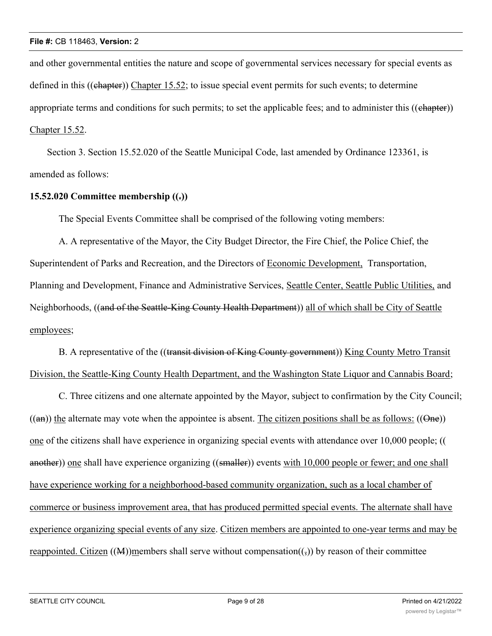and other governmental entities the nature and scope of governmental services necessary for special events as defined in this ((chapter)) Chapter 15.52; to issue special event permits for such events; to determine appropriate terms and conditions for such permits; to set the applicable fees; and to administer this  $((ehapter))$ Chapter 15.52.

Section 3. Section 15.52.020 of the Seattle Municipal Code, last amended by Ordinance 123361, is amended as follows:

# **15.52.020 Committee membership ((.))**

The Special Events Committee shall be comprised of the following voting members:

A. A representative of the Mayor, the City Budget Director, the Fire Chief, the Police Chief, the Superintendent of Parks and Recreation, and the Directors of Economic Development, Transportation, Planning and Development, Finance and Administrative Services, Seattle Center, Seattle Public Utilities, and Neighborhoods, ((and of the Seattle-King County Health Department)) all of which shall be City of Seattle employees;

B. A representative of the ((transit division of King County government)) King County Metro Transit Division, the Seattle-King County Health Department, and the Washington State Liquor and Cannabis Board;

C. Three citizens and one alternate appointed by the Mayor, subject to confirmation by the City Council;  $((an))$  the alternate may vote when the appointee is absent. The citizen positions shall be as follows:  $((\Theta_{\text{ne}}))$ one of the citizens shall have experience in organizing special events with attendance over 10,000 people; (( another)) one shall have experience organizing ((smaller)) events with 10,000 people or fewer; and one shall have experience working for a neighborhood-based community organization, such as a local chamber of commerce or business improvement area, that has produced permitted special events. The alternate shall have experience organizing special events of any size. Citizen members are appointed to one-year terms and may be reappointed. Citizen  $((M))$ members shall serve without compensation $((\tau))$  by reason of their committee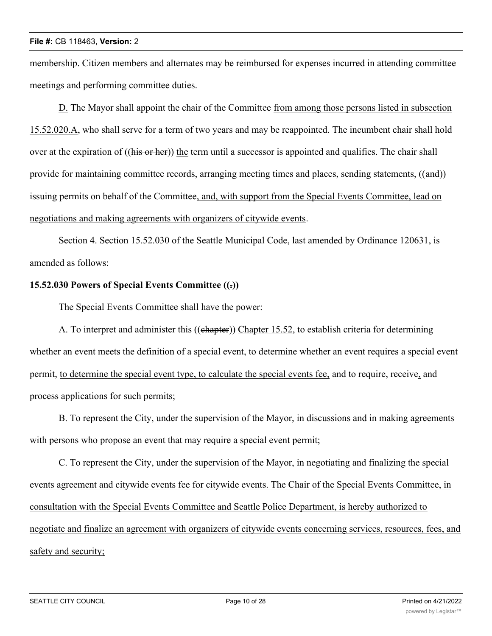membership. Citizen members and alternates may be reimbursed for expenses incurred in attending committee meetings and performing committee duties.

D. The Mayor shall appoint the chair of the Committee from among those persons listed in subsection 15.52.020.A, who shall serve for a term of two years and may be reappointed. The incumbent chair shall hold over at the expiration of ((his or her)) the term until a successor is appointed and qualifies. The chair shall provide for maintaining committee records, arranging meeting times and places, sending statements, ((and)) issuing permits on behalf of the Committee, and, with support from the Special Events Committee, lead on negotiations and making agreements with organizers of citywide events.

Section 4. Section 15.52.030 of the Seattle Municipal Code, last amended by Ordinance 120631, is amended as follows:

## **15.52.030 Powers of Special Events Committee ((.))**

The Special Events Committee shall have the power:

A. To interpret and administer this ((ehapter)) Chapter 15.52, to establish criteria for determining whether an event meets the definition of a special event, to determine whether an event requires a special event permit, to determine the special event type, to calculate the special events fee, and to require, receive, and process applications for such permits;

B. To represent the City, under the supervision of the Mayor, in discussions and in making agreements with persons who propose an event that may require a special event permit;

C. To represent the City, under the supervision of the Mayor, in negotiating and finalizing the special events agreement and citywide events fee for citywide events. The Chair of the Special Events Committee, in consultation with the Special Events Committee and Seattle Police Department, is hereby authorized to negotiate and finalize an agreement with organizers of citywide events concerning services, resources, fees, and safety and security;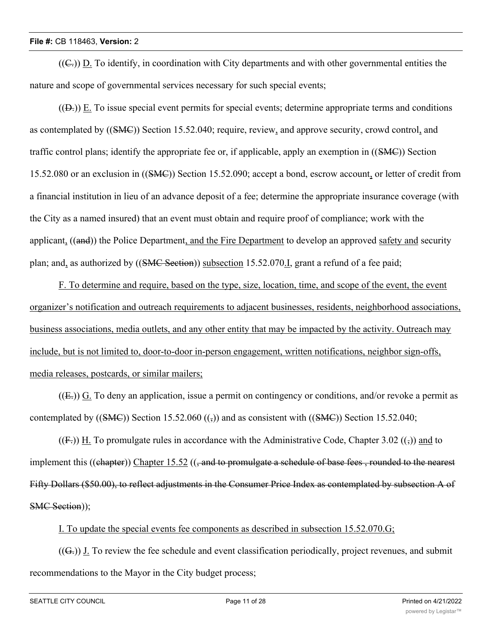$((\subseteq))$  D. To identify, in coordination with City departments and with other governmental entities the nature and scope of governmental services necessary for such special events;

 $((D))$  E. To issue special event permits for special events; determine appropriate terms and conditions as contemplated by ((SMC)) Section 15.52.040; require, review, and approve security, crowd control, and traffic control plans; identify the appropriate fee or, if applicable, apply an exemption in ((SMC)) Section 15.52.080 or an exclusion in ((SMC)) Section 15.52.090; accept a bond, escrow account, or letter of credit from a financial institution in lieu of an advance deposit of a fee; determine the appropriate insurance coverage (with the City as a named insured) that an event must obtain and require proof of compliance; work with the applicant, ((and)) the Police Department, and the Fire Department to develop an approved safety and security plan; and, as authorized by ((SMC Section)) subsection 15.52.070.I, grant a refund of a fee paid;

F. To determine and require, based on the type, size, location, time, and scope of the event, the event organizer's notification and outreach requirements to adjacent businesses, residents, neighborhood associations, business associations, media outlets, and any other entity that may be impacted by the activity. Outreach may include, but is not limited to, door-to-door in-person engagement, written notifications, neighbor sign-offs, media releases, postcards, or similar mailers;

 $((E))$  G. To deny an application, issue a permit on contingency or conditions, and/or revoke a permit as contemplated by  $((\text{SMC}))$  Section 15.52.060  $((\frac{1}{2}))$  and as consistent with  $((\text{SMC}))$  Section 15.52.040;

 $((F))$  H. To promulgate rules in accordance with the Administrative Code, Chapter 3.02  $((\tau))$  and to implement this ((chapter)) Chapter 15.52 ((, and to promulgate a schedule of base fees, rounded to the nearest Fifty Dollars (\$50.00), to reflect adjustments in the Consumer Price Index as contemplated by subsection A of SMC Section));

I. To update the special events fee components as described in subsection 15.52.070.G;

 $((G<sub>z</sub>))$  J. To review the fee schedule and event classification periodically, project revenues, and submit recommendations to the Mayor in the City budget process;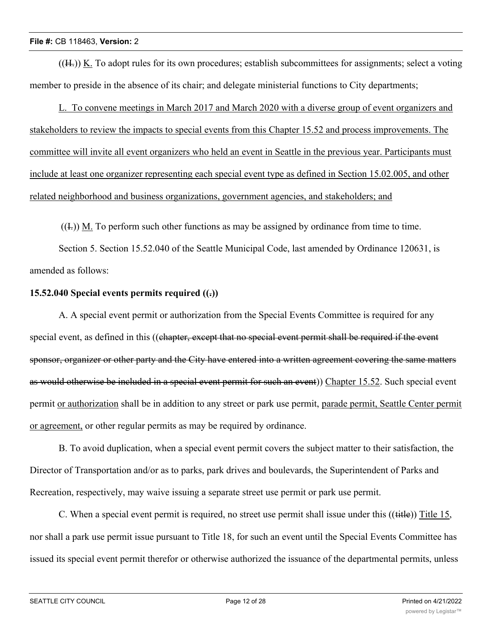$(H<sub>z</sub>)$ ) K. To adopt rules for its own procedures; establish subcommittees for assignments; select a voting member to preside in the absence of its chair; and delegate ministerial functions to City departments;

L. To convene meetings in March 2017 and March 2020 with a diverse group of event organizers and stakeholders to review the impacts to special events from this Chapter 15.52 and process improvements. The committee will invite all event organizers who held an event in Seattle in the previous year. Participants must include at least one organizer representing each special event type as defined in Section 15.02.005, and other related neighborhood and business organizations, government agencies, and stakeholders; and

 $((1))$  M. To perform such other functions as may be assigned by ordinance from time to time.

Section 5. Section 15.52.040 of the Seattle Municipal Code, last amended by Ordinance 120631, is amended as follows:

# **15.52.040 Special events permits required ((.))**

A. A special event permit or authorization from the Special Events Committee is required for any special event, as defined in this ((chapter, except that no special event permit shall be required if the event sponsor, organizer or other party and the City have entered into a written agreement covering the same matters as would otherwise be included in a special event permit for such an event)) Chapter 15.52. Such special event permit or authorization shall be in addition to any street or park use permit, parade permit, Seattle Center permit or agreement, or other regular permits as may be required by ordinance.

B. To avoid duplication, when a special event permit covers the subject matter to their satisfaction, the Director of Transportation and/or as to parks, park drives and boulevards, the Superintendent of Parks and Recreation, respectively, may waive issuing a separate street use permit or park use permit.

C. When a special event permit is required, no street use permit shall issue under this  $((\text{title}))$  Title 15, nor shall a park use permit issue pursuant to Title 18, for such an event until the Special Events Committee has issued its special event permit therefor or otherwise authorized the issuance of the departmental permits, unless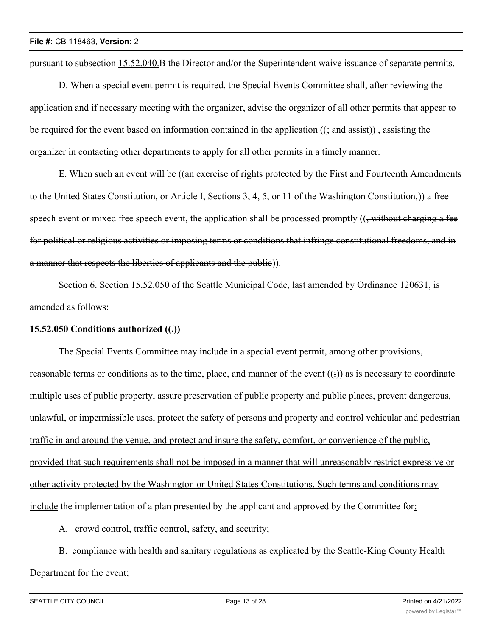pursuant to subsection 15.52.040.B the Director and/or the Superintendent waive issuance of separate permits.

D. When a special event permit is required, the Special Events Committee shall, after reviewing the application and if necessary meeting with the organizer, advise the organizer of all other permits that appear to be required for the event based on information contained in the application  $((\frac{1}{2} \text{ and } \frac{1}{4} \text{ as} \text{ is})$ , assisting the organizer in contacting other departments to apply for all other permits in a timely manner.

E. When such an event will be ((an exercise of rights protected by the First and Fourteenth Amendments to the United States Constitution, or Article I, Sections 3, 4, 5, or 11 of the Washington Constitution,)) a free speech event or mixed free speech event, the application shall be processed promptly  $((\frac{1}{2}, \frac{1}{2}, \frac{1}{2}, \frac{1}{2}, \frac{1}{2}, \frac{1}{2}, \frac{1}{2})$ for political or religious activities or imposing terms or conditions that infringe constitutional freedoms, and in a manner that respects the liberties of applicants and the public)).

Section 6. Section 15.52.050 of the Seattle Municipal Code, last amended by Ordinance 120631, is amended as follows:

## **15.52.050 Conditions authorized ((.))**

The Special Events Committee may include in a special event permit, among other provisions, reasonable terms or conditions as to the time, place, and manner of the event  $((\cdot))$  as is necessary to coordinate multiple uses of public property, assure preservation of public property and public places, prevent dangerous, unlawful, or impermissible uses, protect the safety of persons and property and control vehicular and pedestrian traffic in and around the venue, and protect and insure the safety, comfort, or convenience of the public, provided that such requirements shall not be imposed in a manner that will unreasonably restrict expressive or other activity protected by the Washington or United States Constitutions. Such terms and conditions may include the implementation of a plan presented by the applicant and approved by the Committee for:

A. crowd control, traffic control, safety, and security;

B. compliance with health and sanitary regulations as explicated by the Seattle-King County Health Department for the event;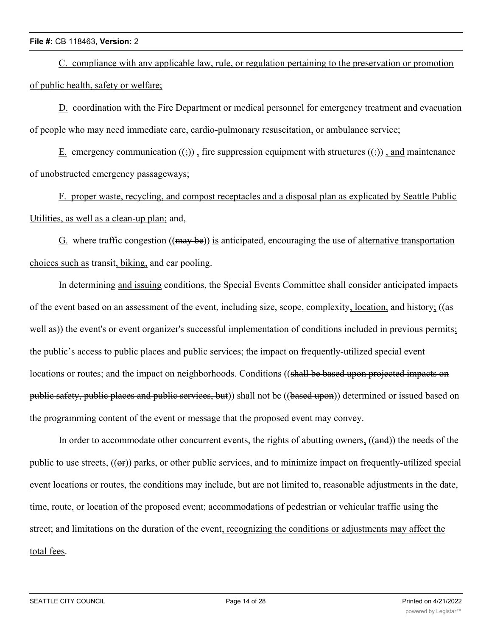C. compliance with any applicable law, rule, or regulation pertaining to the preservation or promotion of public health, safety or welfare;

D. coordination with the Fire Department or medical personnel for emergency treatment and evacuation of people who may need immediate care, cardio-pulmonary resuscitation, or ambulance service;

E. emergency communication  $((\xi))$ , fire suppression equipment with structures  $((\xi))$ , and maintenance of unobstructed emergency passageways;

F. proper waste, recycling, and compost receptacles and a disposal plan as explicated by Seattle Public Utilities, as well as a clean-up plan; and,

 $G$ . where traffic congestion  $((\text{may be}))$  is anticipated, encouraging the use of alternative transportation choices such as transit, biking, and car pooling.

In determining and issuing conditions, the Special Events Committee shall consider anticipated impacts of the event based on an assessment of the event, including size, scope, complexity, location, and history; ((as well as)) the event's or event organizer's successful implementation of conditions included in previous permits; the public's access to public places and public services; the impact on frequently-utilized special event locations or routes; and the impact on neighborhoods. Conditions ((shall be based upon projected impacts on public safety, public places and public services, but)) shall not be ((based upon)) determined or issued based on the programming content of the event or message that the proposed event may convey.

In order to accommodate other concurrent events, the rights of abutting owners, ((and)) the needs of the public to use streets, (( $\Theta$ )) parks, or other public services, and to minimize impact on frequently-utilized special event locations or routes, the conditions may include, but are not limited to, reasonable adjustments in the date, time, route, or location of the proposed event; accommodations of pedestrian or vehicular traffic using the street; and limitations on the duration of the event, recognizing the conditions or adjustments may affect the total fees.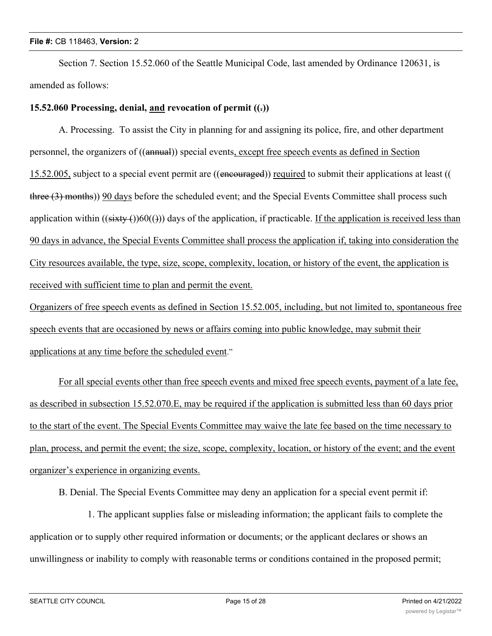Section 7. Section 15.52.060 of the Seattle Municipal Code, last amended by Ordinance 120631, is amended as follows:

### **15.52.060 Processing, denial, and revocation of permit ((.))**

A. Processing. To assist the City in planning for and assigning its police, fire, and other department personnel, the organizers of ((annual)) special events, except free speech events as defined in Section 15.52.005, subject to a special event permit are ((encouraged)) required to submit their applications at least (( three (3) months)) 90 days before the scheduled event; and the Special Events Committee shall process such application within  $((sixty)(60)())$  days of the application, if practicable. If the application is received less than 90 days in advance, the Special Events Committee shall process the application if, taking into consideration the City resources available, the type, size, scope, complexity, location, or history of the event, the application is received with sufficient time to plan and permit the event.

Organizers of free speech events as defined in Section 15.52.005, including, but not limited to, spontaneous free speech events that are occasioned by news or affairs coming into public knowledge, may submit their applications at any time before the scheduled event."

For all special events other than free speech events and mixed free speech events, payment of a late fee, as described in subsection 15.52.070.E, may be required if the application is submitted less than 60 days prior to the start of the event. The Special Events Committee may waive the late fee based on the time necessary to plan, process, and permit the event; the size, scope, complexity, location, or history of the event; and the event organizer's experience in organizing events.

B. Denial. The Special Events Committee may deny an application for a special event permit if:

1. The applicant supplies false or misleading information; the applicant fails to complete the application or to supply other required information or documents; or the applicant declares or shows an unwillingness or inability to comply with reasonable terms or conditions contained in the proposed permit;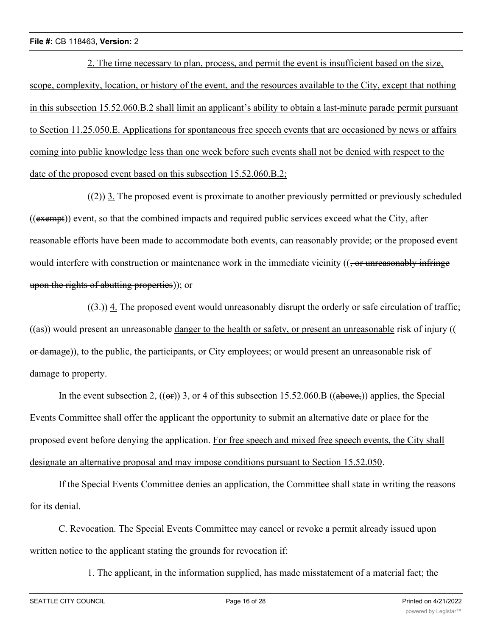2. The time necessary to plan, process, and permit the event is insufficient based on the size, scope, complexity, location, or history of the event, and the resources available to the City, except that nothing in this subsection 15.52.060.B.2 shall limit an applicant's ability to obtain a last-minute parade permit pursuant to Section 11.25.050.E. Applications for spontaneous free speech events that are occasioned by news or affairs coming into public knowledge less than one week before such events shall not be denied with respect to the date of the proposed event based on this subsection 15.52.060.B.2;

 $((2))$  3. The proposed event is proximate to another previously permitted or previously scheduled ((exempt)) event, so that the combined impacts and required public services exceed what the City, after reasonable efforts have been made to accommodate both events, can reasonably provide; or the proposed event would interfere with construction or maintenance work in the immediate vicinity  $((\text{- or unreasonably infinite})$ upon the rights of abutting properties)); or

 $((3))$  4. The proposed event would unreasonably disrupt the orderly or safe circulation of traffic;  $((a\mathbf{s}))$  would present an unreasonable danger to the health or safety, or present an unreasonable risk of injury (( or damage)), to the public, the participants, or City employees; or would present an unreasonable risk of damage to property.

In the event subsection 2,  $((\omega f)$ ) 3, or 4 of this subsection 15.52.060.B  $((\omega b \omega \omega \epsilon))$  applies, the Special Events Committee shall offer the applicant the opportunity to submit an alternative date or place for the proposed event before denying the application. For free speech and mixed free speech events, the City shall designate an alternative proposal and may impose conditions pursuant to Section 15.52.050.

If the Special Events Committee denies an application, the Committee shall state in writing the reasons for its denial.

C. Revocation. The Special Events Committee may cancel or revoke a permit already issued upon written notice to the applicant stating the grounds for revocation if:

1. The applicant, in the information supplied, has made misstatement of a material fact; the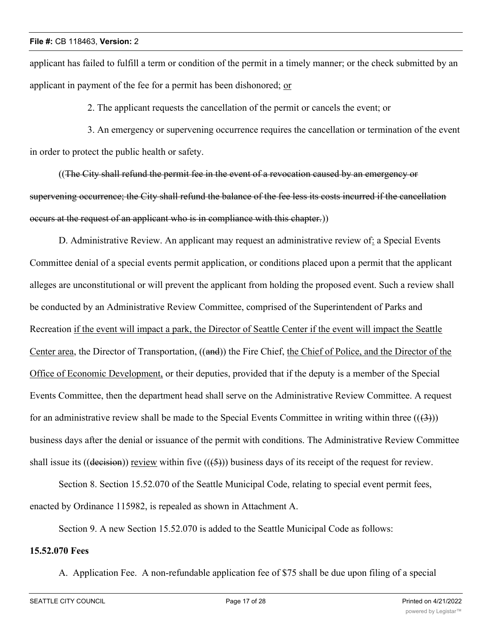applicant has failed to fulfill a term or condition of the permit in a timely manner; or the check submitted by an applicant in payment of the fee for a permit has been dishonored; or

2. The applicant requests the cancellation of the permit or cancels the event; or

3. An emergency or supervening occurrence requires the cancellation or termination of the event in order to protect the public health or safety.

((The City shall refund the permit fee in the event of a revocation caused by an emergency or supervening occurrence; the City shall refund the balance of the fee less its costs incurred if the cancellation occurs at the request of an applicant who is in compliance with this chapter.))

D. Administrative Review. An applicant may request an administrative review of: a Special Events Committee denial of a special events permit application, or conditions placed upon a permit that the applicant alleges are unconstitutional or will prevent the applicant from holding the proposed event. Such a review shall be conducted by an Administrative Review Committee, comprised of the Superintendent of Parks and Recreation if the event will impact a park, the Director of Seattle Center if the event will impact the Seattle Center area, the Director of Transportation, ((and)) the Fire Chief, the Chief of Police, and the Director of the Office of Economic Development, or their deputies, provided that if the deputy is a member of the Special Events Committee, then the department head shall serve on the Administrative Review Committee. A request for an administrative review shall be made to the Special Events Committee in writing within three  $((3))$ business days after the denial or issuance of the permit with conditions. The Administrative Review Committee shall issue its ((decision)) review within five  $((5))$  business days of its receipt of the request for review.

Section 8. Section 15.52.070 of the Seattle Municipal Code, relating to special event permit fees, enacted by Ordinance 115982, is repealed as shown in Attachment A.

Section 9. A new Section 15.52.070 is added to the Seattle Municipal Code as follows:

## **15.52.070 Fees**

A. Application Fee. A non-refundable application fee of \$75 shall be due upon filing of a special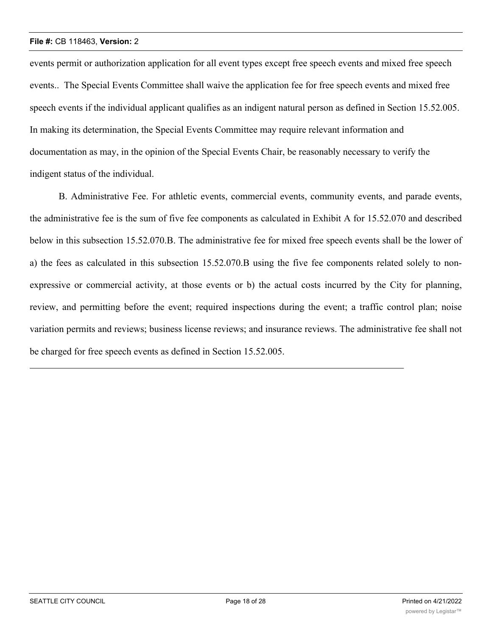events permit or authorization application for all event types except free speech events and mixed free speech events.. The Special Events Committee shall waive the application fee for free speech events and mixed free speech events if the individual applicant qualifies as an indigent natural person as defined in Section 15.52.005. In making its determination, the Special Events Committee may require relevant information and documentation as may, in the opinion of the Special Events Chair, be reasonably necessary to verify the indigent status of the individual.

B. Administrative Fee. For athletic events, commercial events, community events, and parade events, the administrative fee is the sum of five fee components as calculated in Exhibit A for 15.52.070 and described below in this subsection 15.52.070.B. The administrative fee for mixed free speech events shall be the lower of a) the fees as calculated in this subsection 15.52.070.B using the five fee components related solely to nonexpressive or commercial activity, at those events or b) the actual costs incurred by the City for planning, review, and permitting before the event; required inspections during the event; a traffic control plan; noise variation permits and reviews; business license reviews; and insurance reviews. The administrative fee shall not be charged for free speech events as defined in Section 15.52.005.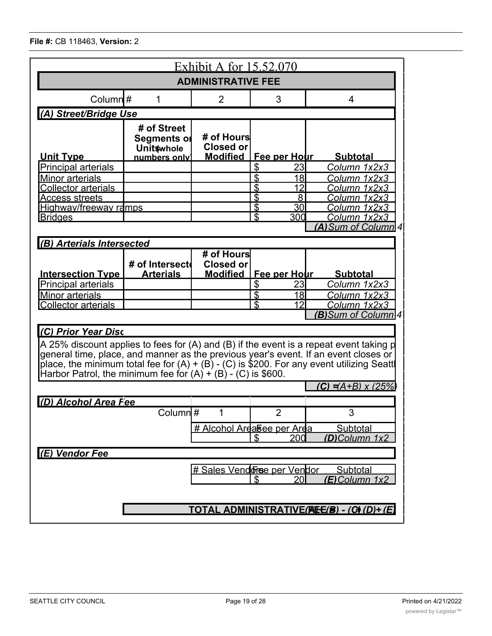|                                                                                                               |                                                                 | <u>Exhibit A for 15.52.070</u>                    |                                                          |                                                                                                                                                                                                                                                                               |  |  |  |  |
|---------------------------------------------------------------------------------------------------------------|-----------------------------------------------------------------|---------------------------------------------------|----------------------------------------------------------|-------------------------------------------------------------------------------------------------------------------------------------------------------------------------------------------------------------------------------------------------------------------------------|--|--|--|--|
| <b>ADMINISTRATIVE FEE</b>                                                                                     |                                                                 |                                                   |                                                          |                                                                                                                                                                                                                                                                               |  |  |  |  |
| Column $#$                                                                                                    | 1                                                               | $\overline{2}$                                    | 3                                                        | $\overline{4}$                                                                                                                                                                                                                                                                |  |  |  |  |
| (A) Street/Bridge Use                                                                                         |                                                                 |                                                   |                                                          |                                                                                                                                                                                                                                                                               |  |  |  |  |
| <b>Unit Type</b>                                                                                              | # of Street<br>Segments or<br><b>Unitswhole</b><br>numbers only | # of Hours<br><b>Closed or</b><br><b>Modified</b> | Fee per Hour                                             | <b>Subtotal</b>                                                                                                                                                                                                                                                               |  |  |  |  |
| <b>Principal arterials</b>                                                                                    |                                                                 |                                                   | \$<br>23                                                 | Column 1x2x3                                                                                                                                                                                                                                                                  |  |  |  |  |
| <b>Minor arterials</b><br><b>Collector arterials</b><br><u>Access streets</u><br><u>Highway/freeway ramps</u> |                                                                 |                                                   | \$<br>18<br>\$<br>12<br>\$<br>8<br>\$<br>30 <sup>°</sup> | Column 1x2x3<br>Column 1x2x3<br>Column 1x2x3<br>Column 1x2x3                                                                                                                                                                                                                  |  |  |  |  |
| <b>Bridges</b>                                                                                                |                                                                 |                                                   | $\overline{3}$<br>300                                    | Column 1x2x3                                                                                                                                                                                                                                                                  |  |  |  |  |
|                                                                                                               |                                                                 |                                                   |                                                          | (A) Sum of Column 4                                                                                                                                                                                                                                                           |  |  |  |  |
| (B) Arterials Intersected                                                                                     |                                                                 |                                                   |                                                          |                                                                                                                                                                                                                                                                               |  |  |  |  |
| <b>Intersection Type</b><br><b>Principal arterials</b>                                                        | # of Intersect<br><b>Arterials</b>                              | # of Hours<br>Closed or<br><b>Modified</b>        | Fee per Hour<br>\$<br>23                                 | <b>Subtotal</b><br>Column 1x2x3                                                                                                                                                                                                                                               |  |  |  |  |
| Minor arterials                                                                                               |                                                                 |                                                   | $\overline{\mathcal{E}}$<br>18 <sup>l</sup>              | Column 1x2x3                                                                                                                                                                                                                                                                  |  |  |  |  |
| <b>Collector arterials</b>                                                                                    |                                                                 |                                                   | \$<br>12                                                 | Column 1x2x3<br><b>(B)</b> Sum of Column 4                                                                                                                                                                                                                                    |  |  |  |  |
| (C) Prior Year Disc<br>Harbor Patrol, the minimum fee for $(A) + (B) - (C)$ is \$600.                         |                                                                 |                                                   |                                                          | A 25% discount applies to fees for (A) and (B) if the event is a repeat event taking p<br>general time, place, and manner as the previous year's event. If an event closes or<br>place, the minimum total fee for $(A) + (B)$ - $(C)$ is \$200. For any event utilizing Seatt |  |  |  |  |
|                                                                                                               |                                                                 |                                                   |                                                          | (C) = $(A+B)$ x (25%)                                                                                                                                                                                                                                                         |  |  |  |  |
| (D) Alcohol Area Fee                                                                                          | Column $\frac{1}{4}$                                            | 1<br><u># Alcohol Ardasee per Arda</u>            | $\overline{2}$<br>200<br>\$                              | 3<br>Subtotal<br>(D)Column 1x2                                                                                                                                                                                                                                                |  |  |  |  |
| (E) Vendor Fee                                                                                                |                                                                 |                                                   |                                                          |                                                                                                                                                                                                                                                                               |  |  |  |  |
|                                                                                                               |                                                                 | # Sales Vendorse per Vendor                       | 20I<br>\$.                                               | Subtotal<br>$(E)$ Column $1x2$                                                                                                                                                                                                                                                |  |  |  |  |
| TOTAL ADMINISTRATIVE(AEE(B) - (G)(D)+ (E)                                                                     |                                                                 |                                                   |                                                          |                                                                                                                                                                                                                                                                               |  |  |  |  |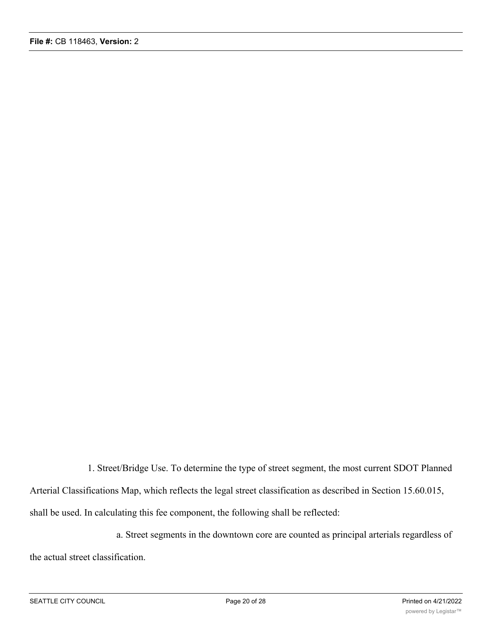1. Street/Bridge Use. To determine the type of street segment, the most current SDOT Planned Arterial Classifications Map, which reflects the legal street classification as described in Section 15.60.015, shall be used. In calculating this fee component, the following shall be reflected:

a. Street segments in the downtown core are counted as principal arterials regardless of the actual street classification.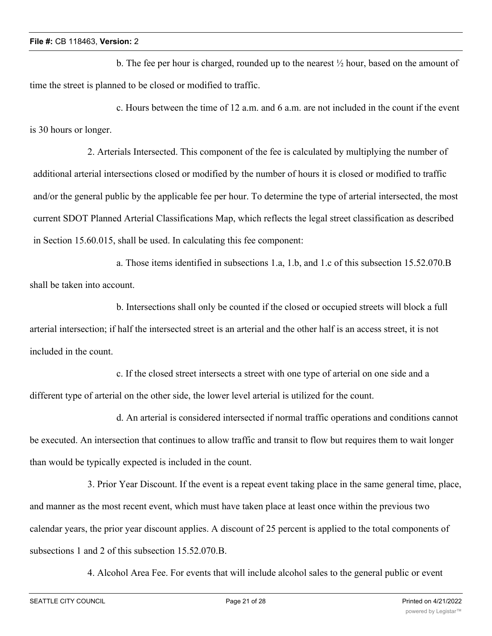b. The fee per hour is charged, rounded up to the nearest  $\frac{1}{2}$  hour, based on the amount of time the street is planned to be closed or modified to traffic.

c. Hours between the time of 12 a.m. and 6 a.m. are not included in the count if the event is 30 hours or longer.

2. Arterials Intersected. This component of the fee is calculated by multiplying the number of additional arterial intersections closed or modified by the number of hours it is closed or modified to traffic and/or the general public by the applicable fee per hour. To determine the type of arterial intersected, the most current SDOT Planned Arterial Classifications Map, which reflects the legal street classification as described in Section 15.60.015, shall be used. In calculating this fee component:

a. Those items identified in subsections 1.a, 1.b, and 1.c of this subsection 15.52.070.B shall be taken into account.

b. Intersections shall only be counted if the closed or occupied streets will block a full arterial intersection; if half the intersected street is an arterial and the other half is an access street, it is not included in the count.

c. If the closed street intersects a street with one type of arterial on one side and a different type of arterial on the other side, the lower level arterial is utilized for the count.

d. An arterial is considered intersected if normal traffic operations and conditions cannot be executed. An intersection that continues to allow traffic and transit to flow but requires them to wait longer than would be typically expected is included in the count.

3. Prior Year Discount. If the event is a repeat event taking place in the same general time, place, and manner as the most recent event, which must have taken place at least once within the previous two calendar years, the prior year discount applies. A discount of 25 percent is applied to the total components of subsections 1 and 2 of this subsection 15.52.070.B.

4. Alcohol Area Fee. For events that will include alcohol sales to the general public or event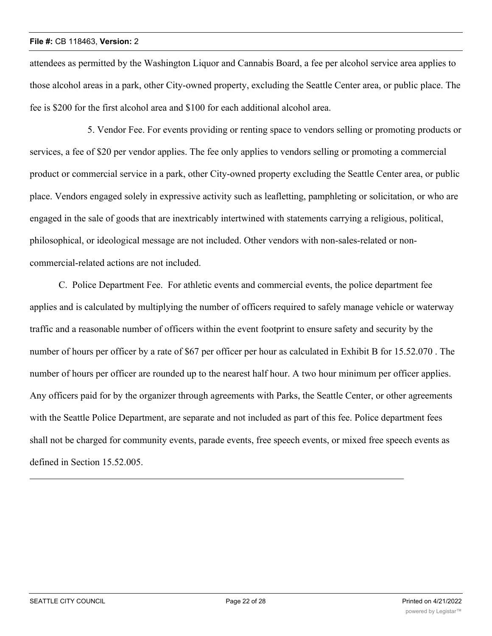attendees as permitted by the Washington Liquor and Cannabis Board, a fee per alcohol service area applies to those alcohol areas in a park, other City-owned property, excluding the Seattle Center area, or public place. The fee is \$200 for the first alcohol area and \$100 for each additional alcohol area.

5. Vendor Fee. For events providing or renting space to vendors selling or promoting products or services, a fee of \$20 per vendor applies. The fee only applies to vendors selling or promoting a commercial product or commercial service in a park, other City-owned property excluding the Seattle Center area, or public place. Vendors engaged solely in expressive activity such as leafletting, pamphleting or solicitation, or who are engaged in the sale of goods that are inextricably intertwined with statements carrying a religious, political, philosophical, or ideological message are not included. Other vendors with non-sales-related or noncommercial-related actions are not included.

C. Police Department Fee. For athletic events and commercial events, the police department fee applies and is calculated by multiplying the number of officers required to safely manage vehicle or waterway traffic and a reasonable number of officers within the event footprint to ensure safety and security by the number of hours per officer by a rate of \$67 per officer per hour as calculated in Exhibit B for 15.52.070 . The number of hours per officer are rounded up to the nearest half hour. A two hour minimum per officer applies. Any officers paid for by the organizer through agreements with Parks, the Seattle Center, or other agreements with the Seattle Police Department, are separate and not included as part of this fee. Police department fees shall not be charged for community events, parade events, free speech events, or mixed free speech events as defined in Section 15.52.005.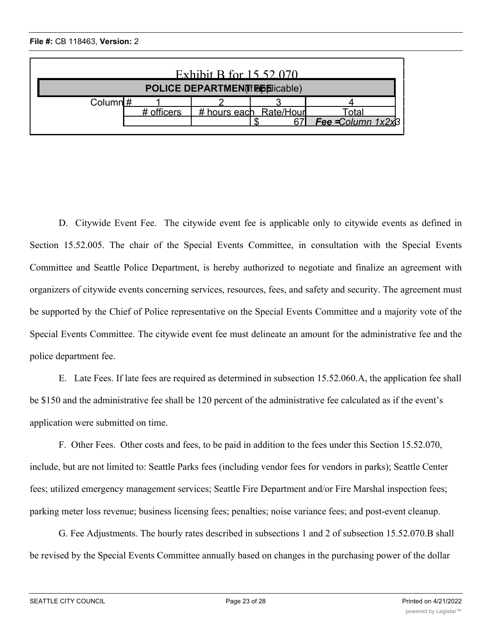| Exhibit B for 15.52.070             |            |  |                        |                         |  |  |  |  |
|-------------------------------------|------------|--|------------------------|-------------------------|--|--|--|--|
| <b>POLICE DEPARTMENT FOLICAble)</b> |            |  |                        |                         |  |  |  |  |
| Column $\sharp$                     |            |  |                        |                         |  |  |  |  |
|                                     | # officers |  | # hours each Rate/Hour | <sup>г</sup> otaı       |  |  |  |  |
|                                     |            |  |                        | Fee $=$ Column $1x2x$ B |  |  |  |  |
|                                     |            |  |                        |                         |  |  |  |  |

D. Citywide Event Fee. The citywide event fee is applicable only to citywide events as defined in Section 15.52.005. The chair of the Special Events Committee, in consultation with the Special Events Committee and Seattle Police Department, is hereby authorized to negotiate and finalize an agreement with organizers of citywide events concerning services, resources, fees, and safety and security. The agreement must be supported by the Chief of Police representative on the Special Events Committee and a majority vote of the Special Events Committee. The citywide event fee must delineate an amount for the administrative fee and the police department fee.

E. Late Fees. If late fees are required as determined in subsection 15.52.060.A, the application fee shall be \$150 and the administrative fee shall be 120 percent of the administrative fee calculated as if the event's application were submitted on time.

F. Other Fees. Other costs and fees, to be paid in addition to the fees under this Section 15.52.070, include, but are not limited to: Seattle Parks fees (including vendor fees for vendors in parks); Seattle Center fees; utilized emergency management services; Seattle Fire Department and/or Fire Marshal inspection fees; parking meter loss revenue; business licensing fees; penalties; noise variance fees; and post-event cleanup.

G. Fee Adjustments. The hourly rates described in subsections 1 and 2 of subsection 15.52.070.B shall be revised by the Special Events Committee annually based on changes in the purchasing power of the dollar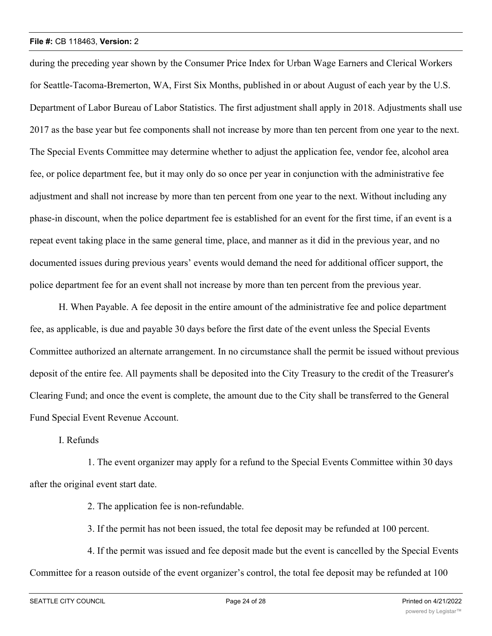during the preceding year shown by the Consumer Price Index for Urban Wage Earners and Clerical Workers for Seattle-Tacoma-Bremerton, WA, First Six Months, published in or about August of each year by the U.S. Department of Labor Bureau of Labor Statistics. The first adjustment shall apply in 2018. Adjustments shall use 2017 as the base year but fee components shall not increase by more than ten percent from one year to the next. The Special Events Committee may determine whether to adjust the application fee, vendor fee, alcohol area fee, or police department fee, but it may only do so once per year in conjunction with the administrative fee adjustment and shall not increase by more than ten percent from one year to the next. Without including any phase-in discount, when the police department fee is established for an event for the first time, if an event is a repeat event taking place in the same general time, place, and manner as it did in the previous year, and no documented issues during previous years' events would demand the need for additional officer support, the police department fee for an event shall not increase by more than ten percent from the previous year.

H. When Payable. A fee deposit in the entire amount of the administrative fee and police department fee, as applicable, is due and payable 30 days before the first date of the event unless the Special Events Committee authorized an alternate arrangement. In no circumstance shall the permit be issued without previous deposit of the entire fee. All payments shall be deposited into the City Treasury to the credit of the Treasurer's Clearing Fund; and once the event is complete, the amount due to the City shall be transferred to the General Fund Special Event Revenue Account.

### I. Refunds

1. The event organizer may apply for a refund to the Special Events Committee within 30 days after the original event start date.

2. The application fee is non-refundable.

3. If the permit has not been issued, the total fee deposit may be refunded at 100 percent.

4. If the permit was issued and fee deposit made but the event is cancelled by the Special Events Committee for a reason outside of the event organizer's control, the total fee deposit may be refunded at 100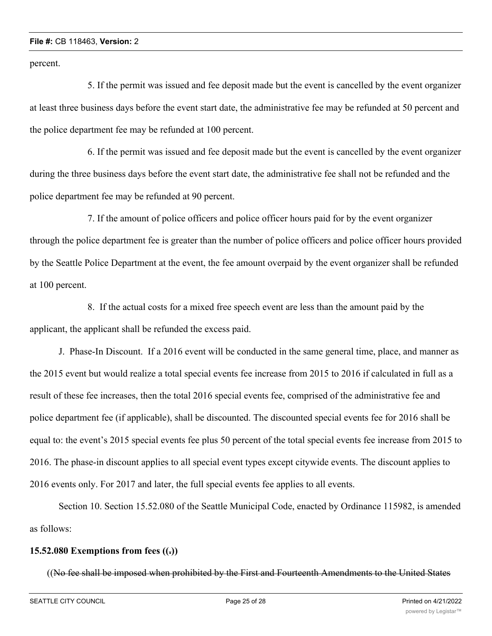percent.

5. If the permit was issued and fee deposit made but the event is cancelled by the event organizer at least three business days before the event start date, the administrative fee may be refunded at 50 percent and the police department fee may be refunded at 100 percent.

6. If the permit was issued and fee deposit made but the event is cancelled by the event organizer during the three business days before the event start date, the administrative fee shall not be refunded and the police department fee may be refunded at 90 percent.

7. If the amount of police officers and police officer hours paid for by the event organizer through the police department fee is greater than the number of police officers and police officer hours provided by the Seattle Police Department at the event, the fee amount overpaid by the event organizer shall be refunded at 100 percent.

8. If the actual costs for a mixed free speech event are less than the amount paid by the applicant, the applicant shall be refunded the excess paid.

J. Phase-In Discount. If a 2016 event will be conducted in the same general time, place, and manner as the 2015 event but would realize a total special events fee increase from 2015 to 2016 if calculated in full as a result of these fee increases, then the total 2016 special events fee, comprised of the administrative fee and police department fee (if applicable), shall be discounted. The discounted special events fee for 2016 shall be equal to: the event's 2015 special events fee plus 50 percent of the total special events fee increase from 2015 to 2016. The phase-in discount applies to all special event types except citywide events. The discount applies to 2016 events only. For 2017 and later, the full special events fee applies to all events.

Section 10. Section 15.52.080 of the Seattle Municipal Code, enacted by Ordinance 115982, is amended as follows:

### **15.52.080 Exemptions from fees ((.))**

((No fee shall be imposed when prohibited by the First and Fourteenth Amendments to the United States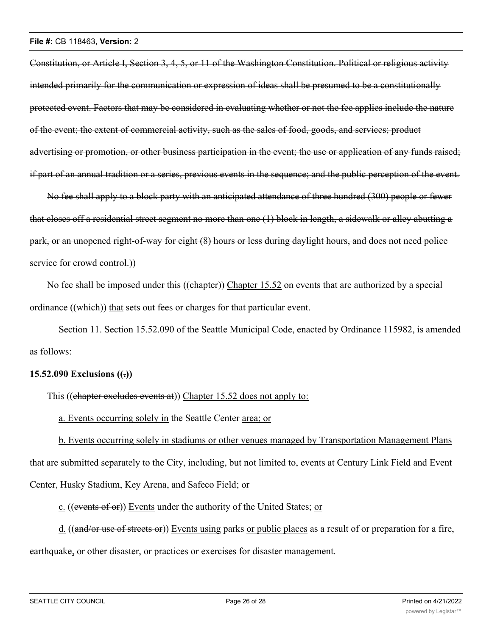Constitution, or Article I, Section 3, 4, 5, or 11 of the Washington Constitution. Political or religious activity intended primarily for the communication or expression of ideas shall be presumed to be a constitutionally protected event. Factors that may be considered in evaluating whether or not the fee applies include the nature of the event; the extent of commercial activity, such as the sales of food, goods, and services; product advertising or promotion, or other business participation in the event; the use or application of any funds raised; if part of an annual tradition or a series, previous events in the sequence; and the public perception of the event.

No fee shall apply to a block party with an anticipated attendance of three hundred (300) people or fewer that closes off a residential street segment no more than one (1) block in length, a sidewalk or alley abutting a park, or an unopened right-of-way for eight (8) hours or less during daylight hours, and does not need police service for crowd control.)

No fee shall be imposed under this ((chapter)) Chapter 15.52 on events that are authorized by a special ordinance ((which)) that sets out fees or charges for that particular event.

Section 11. Section 15.52.090 of the Seattle Municipal Code, enacted by Ordinance 115982, is amended as follows:

# **15.52.090 Exclusions ((.))**

This ((chapter excludes events at)) Chapter 15.52 does not apply to:

a. Events occurring solely in the Seattle Center area; or

b. Events occurring solely in stadiums or other venues managed by Transportation Management Plans that are submitted separately to the City, including, but not limited to, events at Century Link Field and Event Center, Husky Stadium, Key Arena, and Safeco Field; or

c. ((events of or)) Events under the authority of the United States; or

d. ((and/or use of streets or)) Events using parks or public places as a result of or preparation for a fire, earthquake, or other disaster, or practices or exercises for disaster management.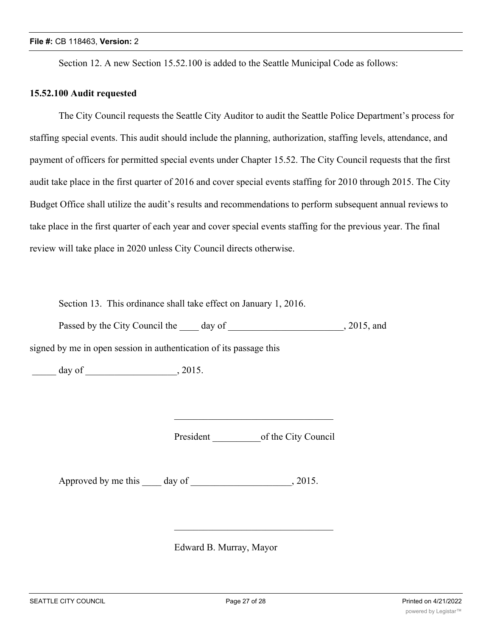Section 12. A new Section 15.52.100 is added to the Seattle Municipal Code as follows:

### **15.52.100 Audit requested**

The City Council requests the Seattle City Auditor to audit the Seattle Police Department's process for staffing special events. This audit should include the planning, authorization, staffing levels, attendance, and payment of officers for permitted special events under Chapter 15.52. The City Council requests that the first audit take place in the first quarter of 2016 and cover special events staffing for 2010 through 2015. The City Budget Office shall utilize the audit's results and recommendations to perform subsequent annual reviews to take place in the first quarter of each year and cover special events staffing for the previous year. The final review will take place in 2020 unless City Council directs otherwise.

Section 13. This ordinance shall take effect on January 1, 2016.

Passed by the City Council the day of , 2015, and

signed by me in open session in authentication of its passage this

 $day of$   $, 2015.$ 

President of the City Council

 $\mathcal{L}=\mathcal{L}=\mathcal{L}=\mathcal{L}=\mathcal{L}=\mathcal{L}=\mathcal{L}=\mathcal{L}=\mathcal{L}=\mathcal{L}=\mathcal{L}=\mathcal{L}=\mathcal{L}=\mathcal{L}=\mathcal{L}=\mathcal{L}=\mathcal{L}=\mathcal{L}=\mathcal{L}=\mathcal{L}=\mathcal{L}=\mathcal{L}=\mathcal{L}=\mathcal{L}=\mathcal{L}=\mathcal{L}=\mathcal{L}=\mathcal{L}=\mathcal{L}=\mathcal{L}=\mathcal{L}=\mathcal{L}=\mathcal{L}=\mathcal{L}=\mathcal{L}=\mathcal{L}=\mathcal{$ 

 $\mathcal{L}=\mathcal{L}=\mathcal{L}=\mathcal{L}=\mathcal{L}=\mathcal{L}=\mathcal{L}=\mathcal{L}=\mathcal{L}=\mathcal{L}=\mathcal{L}=\mathcal{L}=\mathcal{L}=\mathcal{L}=\mathcal{L}=\mathcal{L}=\mathcal{L}=\mathcal{L}=\mathcal{L}=\mathcal{L}=\mathcal{L}=\mathcal{L}=\mathcal{L}=\mathcal{L}=\mathcal{L}=\mathcal{L}=\mathcal{L}=\mathcal{L}=\mathcal{L}=\mathcal{L}=\mathcal{L}=\mathcal{L}=\mathcal{L}=\mathcal{L}=\mathcal{L}=\mathcal{L}=\mathcal{$ 

Approved by me this \_\_\_\_ day of \_\_\_\_\_\_\_\_\_\_\_\_\_\_\_\_\_\_, 2015.

Edward B. Murray, Mayor